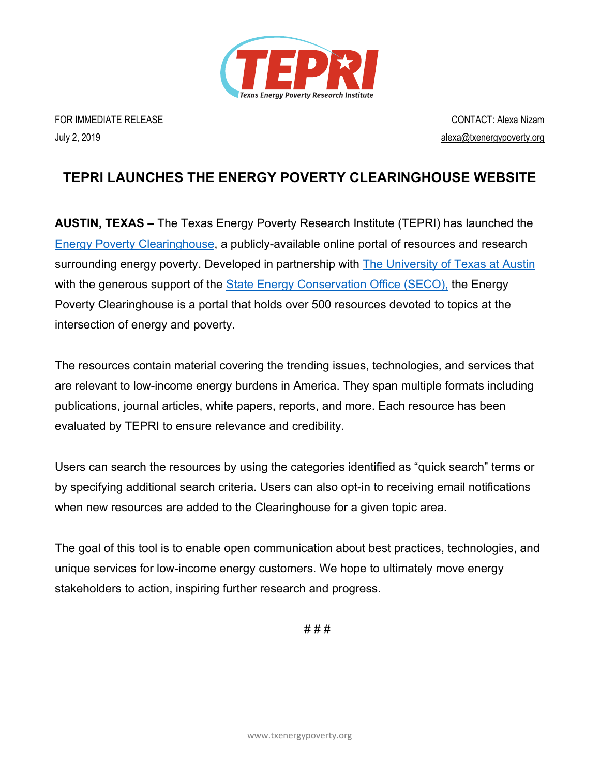

FOR IMMEDIATE RELEASE CONTACT: Alexa Nizam July 2, 2019 alexa@txenergypoverty.org

## **TEPRI LAUNCHES THE ENERGY POVERTY CLEARINGHOUSE WEBSITE**

**AUSTIN, TEXAS –** The Texas Energy Poverty Research Institute (TEPRI) has launched the Energy Poverty Clearinghouse, a publicly-available online portal of resources and research surrounding energy poverty. Developed in partnership with The University of Texas at Austin with the generous support of the State Energy Conservation Office (SECO), the Energy Poverty Clearinghouse is a portal that holds over 500 resources devoted to topics at the intersection of energy and poverty.

The resources contain material covering the trending issues, technologies, and services that are relevant to low-income energy burdens in America. They span multiple formats including publications, journal articles, white papers, reports, and more. Each resource has been evaluated by TEPRI to ensure relevance and credibility.

Users can search the resources by using the categories identified as "quick search" terms or by specifying additional search criteria. Users can also opt-in to receiving email notifications when new resources are added to the Clearinghouse for a given topic area.

The goal of this tool is to enable open communication about best practices, technologies, and unique services for low-income energy customers. We hope to ultimately move energy stakeholders to action, inspiring further research and progress.

# # #